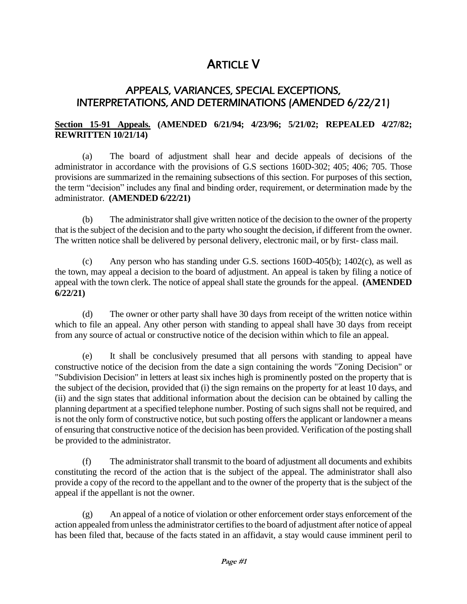# ARTICLE V

# APPEALS, VARIANCES, SPECIAL EXCEPTIONS, INTERPRETATIONS, AND DETERMINATIONS (AMENDED 6/22/21)

# **Section 15-91 Appeals. (AMENDED 6/21/94; 4/23/96; 5/21/02; REPEALED 4/27/82; REWRITTEN 10/21/14)**

(a) The board of adjustment shall hear and decide appeals of decisions of the administrator in accordance with the provisions of G.S sections 160D-302; 405; 406; 705. Those provisions are summarized in the remaining subsections of this section. For purposes of this section, the term "decision" includes any final and binding order, requirement, or determination made by the administrator. **(AMENDED 6/22/21)**

(b) The administrator shall give written notice of the decision to the owner of the property that is the subject of the decision and to the party who sought the decision, if different from the owner. The written notice shall be delivered by personal delivery, electronic mail, or by first- class mail.

(c) Any person who has standing under G.S. sections 160D-405(b); 1402(c), as well as the town, may appeal a decision to the board of adjustment. An appeal is taken by filing a notice of appeal with the town clerk. The notice of appeal shall state the grounds for the appeal. **(AMENDED 6/22/21)**

(d) The owner or other party shall have 30 days from receipt of the written notice within which to file an appeal. Any other person with standing to appeal shall have 30 days from receipt from any source of actual or constructive notice of the decision within which to file an appeal.

(e) It shall be conclusively presumed that all persons with standing to appeal have constructive notice of the decision from the date a sign containing the words "Zoning Decision" or "Subdivision Decision" in letters at least six inches high is prominently posted on the property that is the subject of the decision, provided that (i) the sign remains on the property for at least 10 days, and (ii) and the sign states that additional information about the decision can be obtained by calling the planning department at a specified telephone number. Posting of such signs shall not be required, and is not the only form of constructive notice, but such posting offers the applicant or landowner a means of ensuring that constructive notice of the decision has been provided. Verification of the posting shall be provided to the administrator.

(f) The administrator shall transmit to the board of adjustment all documents and exhibits constituting the record of the action that is the subject of the appeal. The administrator shall also provide a copy of the record to the appellant and to the owner of the property that is the subject of the appeal if the appellant is not the owner.

(g) An appeal of a notice of violation or other enforcement order stays enforcement of the action appealed from unless the administrator certifies to the board of adjustment after notice of appeal has been filed that, because of the facts stated in an affidavit, a stay would cause imminent peril to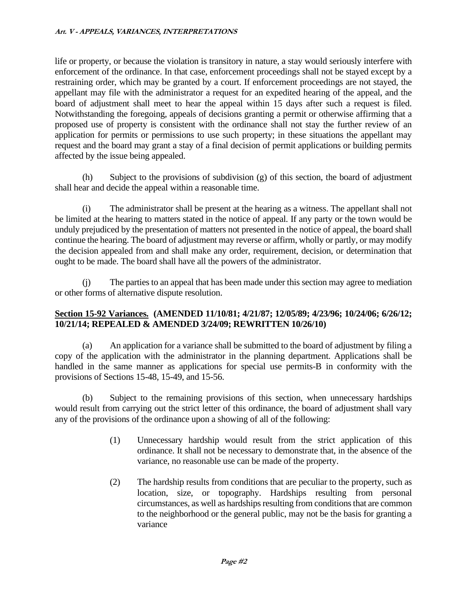life or property, or because the violation is transitory in nature, a stay would seriously interfere with enforcement of the ordinance. In that case, enforcement proceedings shall not be stayed except by a restraining order, which may be granted by a court. If enforcement proceedings are not stayed, the appellant may file with the administrator a request for an expedited hearing of the appeal, and the board of adjustment shall meet to hear the appeal within 15 days after such a request is filed. Notwithstanding the foregoing, appeals of decisions granting a permit or otherwise affirming that a proposed use of property is consistent with the ordinance shall not stay the further review of an application for permits or permissions to use such property; in these situations the appellant may request and the board may grant a stay of a final decision of permit applications or building permits affected by the issue being appealed.

(h) Subject to the provisions of subdivision (g) of this section, the board of adjustment shall hear and decide the appeal within a reasonable time.

(i) The administrator shall be present at the hearing as a witness. The appellant shall not be limited at the hearing to matters stated in the notice of appeal. If any party or the town would be unduly prejudiced by the presentation of matters not presented in the notice of appeal, the board shall continue the hearing. The board of adjustment may reverse or affirm, wholly or partly, or may modify the decision appealed from and shall make any order, requirement, decision, or determination that ought to be made. The board shall have all the powers of the administrator.

(j) The parties to an appeal that has been made under this section may agree to mediation or other forms of alternative dispute resolution.

#### **Section 15-92 Variances. (AMENDED 11/10/81; 4/21/87; 12/05/89; 4/23/96; 10/24/06; 6/26/12; 10/21/14; REPEALED & AMENDED 3/24/09; REWRITTEN 10/26/10)**

(a) An application for a variance shall be submitted to the board of adjustment by filing a copy of the application with the administrator in the planning department. Applications shall be handled in the same manner as applications for special use permits-B in conformity with the provisions of Sections 15-48, 15-49, and 15-56.

(b) Subject to the remaining provisions of this section, when unnecessary hardships would result from carrying out the strict letter of this ordinance, the board of adjustment shall vary any of the provisions of the ordinance upon a showing of all of the following:

- (1) Unnecessary hardship would result from the strict application of this ordinance. It shall not be necessary to demonstrate that, in the absence of the variance, no reasonable use can be made of the property.
- (2) The hardship results from conditions that are peculiar to the property, such as location, size, or topography. Hardships resulting from personal circumstances, as well as hardships resulting from conditions that are common to the neighborhood or the general public, may not be the basis for granting a variance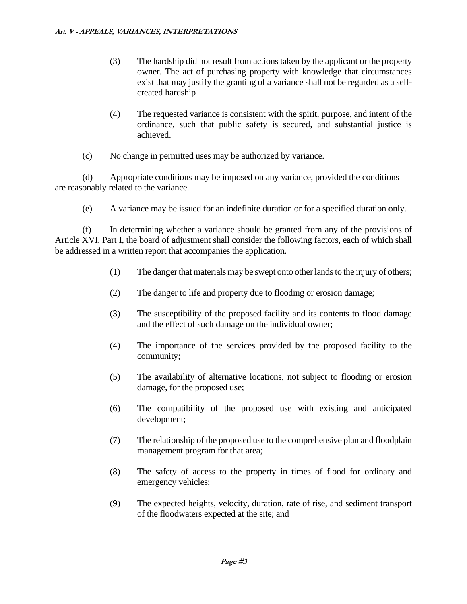- (3) The hardship did not result from actions taken by the applicant or the property owner. The act of purchasing property with knowledge that circumstances exist that may justify the granting of a variance shall not be regarded as a selfcreated hardship
- (4) The requested variance is consistent with the spirit, purpose, and intent of the ordinance, such that public safety is secured, and substantial justice is achieved.
- (c) No change in permitted uses may be authorized by variance.

(d) Appropriate conditions may be imposed on any variance, provided the conditions are reasonably related to the variance.

(e) A variance may be issued for an indefinite duration or for a specified duration only.

(f) In determining whether a variance should be granted from any of the provisions of Article XVI, Part I, the board of adjustment shall consider the following factors, each of which shall be addressed in a written report that accompanies the application.

- (1) The danger that materials may be swept onto other lands to the injury of others;
- (2) The danger to life and property due to flooding or erosion damage;
- (3) The susceptibility of the proposed facility and its contents to flood damage and the effect of such damage on the individual owner;
- (4) The importance of the services provided by the proposed facility to the community;
- (5) The availability of alternative locations, not subject to flooding or erosion damage, for the proposed use;
- (6) The compatibility of the proposed use with existing and anticipated development;
- (7) The relationship of the proposed use to the comprehensive plan and floodplain management program for that area;
- (8) The safety of access to the property in times of flood for ordinary and emergency vehicles;
- (9) The expected heights, velocity, duration, rate of rise, and sediment transport of the floodwaters expected at the site; and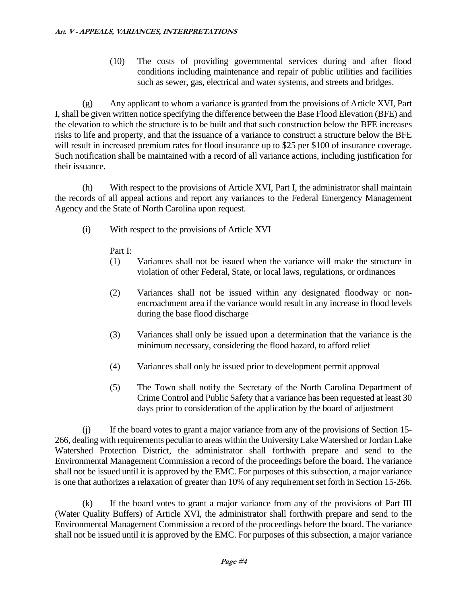(10) The costs of providing governmental services during and after flood conditions including maintenance and repair of public utilities and facilities such as sewer, gas, electrical and water systems, and streets and bridges.

(g) Any applicant to whom a variance is granted from the provisions of Article XVI, Part I, shall be given written notice specifying the difference between the Base Flood Elevation (BFE) and the elevation to which the structure is to be built and that such construction below the BFE increases risks to life and property, and that the issuance of a variance to construct a structure below the BFE will result in increased premium rates for flood insurance up to \$25 per \$100 of insurance coverage. Such notification shall be maintained with a record of all variance actions, including justification for their issuance.

(h) With respect to the provisions of Article XVI, Part I, the administrator shall maintain the records of all appeal actions and report any variances to the Federal Emergency Management Agency and the State of North Carolina upon request.

(i) With respect to the provisions of Article XVI

Part I:

- (1) Variances shall not be issued when the variance will make the structure in violation of other Federal, State, or local laws, regulations, or ordinances
- (2) Variances shall not be issued within any designated floodway or nonencroachment area if the variance would result in any increase in flood levels during the base flood discharge
- (3) Variances shall only be issued upon a determination that the variance is the minimum necessary, considering the flood hazard, to afford relief
- (4) Variances shall only be issued prior to development permit approval
- (5) The Town shall notify the Secretary of the North Carolina Department of Crime Control and Public Safety that a variance has been requested at least 30 days prior to consideration of the application by the board of adjustment

(j) If the board votes to grant a major variance from any of the provisions of Section 15- 266, dealing with requirements peculiar to areas within the University Lake Watershed or Jordan Lake Watershed Protection District, the administrator shall forthwith prepare and send to the Environmental Management Commission a record of the proceedings before the board. The variance shall not be issued until it is approved by the EMC. For purposes of this subsection, a major variance is one that authorizes a relaxation of greater than 10% of any requirement set forth in Section 15-266.

(k) If the board votes to grant a major variance from any of the provisions of Part III (Water Quality Buffers) of Article XVI, the administrator shall forthwith prepare and send to the Environmental Management Commission a record of the proceedings before the board. The variance shall not be issued until it is approved by the EMC. For purposes of this subsection, a major variance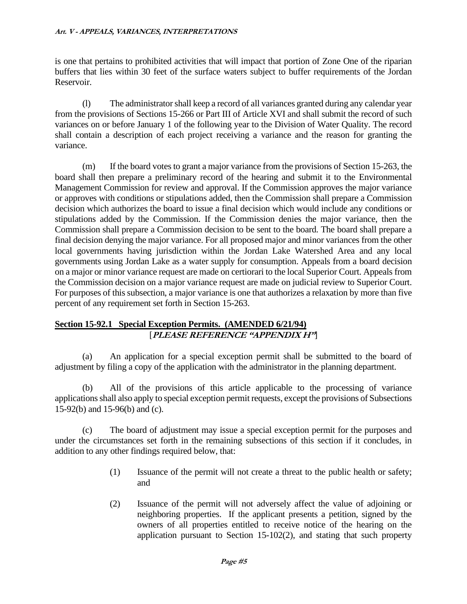is one that pertains to prohibited activities that will impact that portion of Zone One of the riparian buffers that lies within 30 feet of the surface waters subject to buffer requirements of the Jordan Reservoir.

(l) The administrator shall keep a record of all variances granted during any calendar year from the provisions of Sections 15-266 or Part III of Article XVI and shall submit the record of such variances on or before January 1 of the following year to the Division of Water Quality. The record shall contain a description of each project receiving a variance and the reason for granting the variance.

(m) If the board votes to grant a major variance from the provisions of Section 15-263, the board shall then prepare a preliminary record of the hearing and submit it to the Environmental Management Commission for review and approval. If the Commission approves the major variance or approves with conditions or stipulations added, then the Commission shall prepare a Commission decision which authorizes the board to issue a final decision which would include any conditions or stipulations added by the Commission. If the Commission denies the major variance, then the Commission shall prepare a Commission decision to be sent to the board. The board shall prepare a final decision denying the major variance. For all proposed major and minor variances from the other local governments having jurisdiction within the Jordan Lake Watershed Area and any local governments using Jordan Lake as a water supply for consumption. Appeals from a board decision on a major or minor variance request are made on certiorari to the local Superior Court. Appeals from the Commission decision on a major variance request are made on judicial review to Superior Court. For purposes of this subsection, a major variance is one that authorizes a relaxation by more than five percent of any requirement set forth in Section 15-263.

# **Section 15-92.1 Special Exception Permits. (AMENDED 6/21/94)** [**PLEASE REFERENCE "APPENDIX H"**]

(a) An application for a special exception permit shall be submitted to the board of adjustment by filing a copy of the application with the administrator in the planning department.

(b) All of the provisions of this article applicable to the processing of variance applications shall also apply to special exception permit requests, except the provisions of Subsections 15-92(b) and 15-96(b) and (c).

(c) The board of adjustment may issue a special exception permit for the purposes and under the circumstances set forth in the remaining subsections of this section if it concludes, in addition to any other findings required below, that:

- (1) Issuance of the permit will not create a threat to the public health or safety; and
- (2) Issuance of the permit will not adversely affect the value of adjoining or neighboring properties. If the applicant presents a petition, signed by the owners of all properties entitled to receive notice of the hearing on the application pursuant to Section 15-102(2), and stating that such property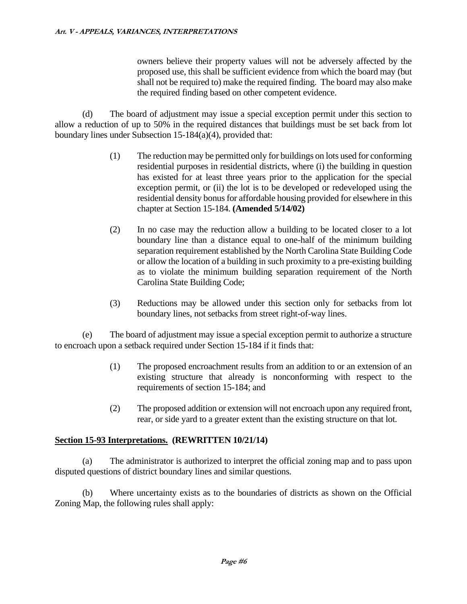owners believe their property values will not be adversely affected by the proposed use, this shall be sufficient evidence from which the board may (but shall not be required to) make the required finding. The board may also make the required finding based on other competent evidence.

(d) The board of adjustment may issue a special exception permit under this section to allow a reduction of up to 50% in the required distances that buildings must be set back from lot boundary lines under Subsection 15-184(a)(4), provided that:

- (1) The reduction may be permitted only for buildings on lots used for conforming residential purposes in residential districts, where (i) the building in question has existed for at least three years prior to the application for the special exception permit, or (ii) the lot is to be developed or redeveloped using the residential density bonus for affordable housing provided for elsewhere in this chapter at Section 15-184. **(Amended 5/14/02)**
- (2) In no case may the reduction allow a building to be located closer to a lot boundary line than a distance equal to one-half of the minimum building separation requirement established by the North Carolina State Building Code or allow the location of a building in such proximity to a pre-existing building as to violate the minimum building separation requirement of the North Carolina State Building Code;
- (3) Reductions may be allowed under this section only for setbacks from lot boundary lines, not setbacks from street right-of-way lines.

(e) The board of adjustment may issue a special exception permit to authorize a structure to encroach upon a setback required under Section 15-184 if it finds that:

- (1) The proposed encroachment results from an addition to or an extension of an existing structure that already is nonconforming with respect to the requirements of section 15-184; and
- (2) The proposed addition or extension will not encroach upon any required front, rear, or side yard to a greater extent than the existing structure on that lot.

# **Section 15-93 Interpretations. (REWRITTEN 10/21/14)**

(a) The administrator is authorized to interpret the official zoning map and to pass upon disputed questions of district boundary lines and similar questions.

(b) Where uncertainty exists as to the boundaries of districts as shown on the Official Zoning Map, the following rules shall apply: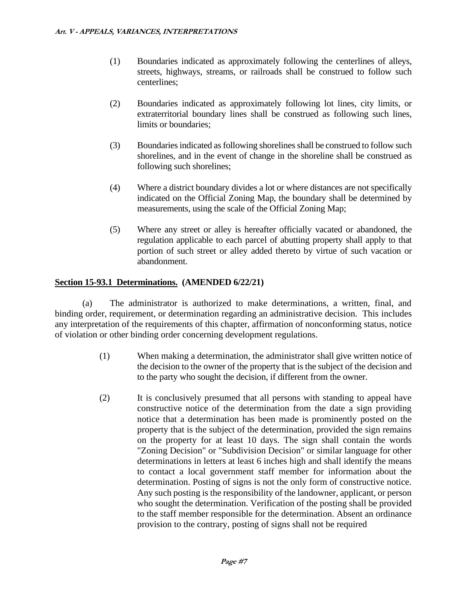- (1) Boundaries indicated as approximately following the centerlines of alleys, streets, highways, streams, or railroads shall be construed to follow such centerlines;
- (2) Boundaries indicated as approximately following lot lines, city limits, or extraterritorial boundary lines shall be construed as following such lines, limits or boundaries;
- (3) Boundaries indicated as following shorelines shall be construed to follow such shorelines, and in the event of change in the shoreline shall be construed as following such shorelines;
- (4) Where a district boundary divides a lot or where distances are not specifically indicated on the Official Zoning Map, the boundary shall be determined by measurements, using the scale of the Official Zoning Map;
- (5) Where any street or alley is hereafter officially vacated or abandoned, the regulation applicable to each parcel of abutting property shall apply to that portion of such street or alley added thereto by virtue of such vacation or abandonment.

#### **Section 15-93.1 Determinations. (AMENDED 6/22/21)**

(a) The administrator is authorized to make determinations, a written, final, and binding order, requirement, or determination regarding an administrative decision. This includes any interpretation of the requirements of this chapter, affirmation of nonconforming status, notice of violation or other binding order concerning development regulations.

- (1) When making a determination, the administrator shall give written notice of the decision to the owner of the property that is the subject of the decision and to the party who sought the decision, if different from the owner.
- (2) It is conclusively presumed that all persons with standing to appeal have constructive notice of the determination from the date a sign providing notice that a determination has been made is prominently posted on the property that is the subject of the determination, provided the sign remains on the property for at least 10 days. The sign shall contain the words "Zoning Decision" or "Subdivision Decision" or similar language for other determinations in letters at least 6 inches high and shall identify the means to contact a local government staff member for information about the determination. Posting of signs is not the only form of constructive notice. Any such posting is the responsibility of the landowner, applicant, or person who sought the determination. Verification of the posting shall be provided to the staff member responsible for the determination. Absent an ordinance provision to the contrary, posting of signs shall not be required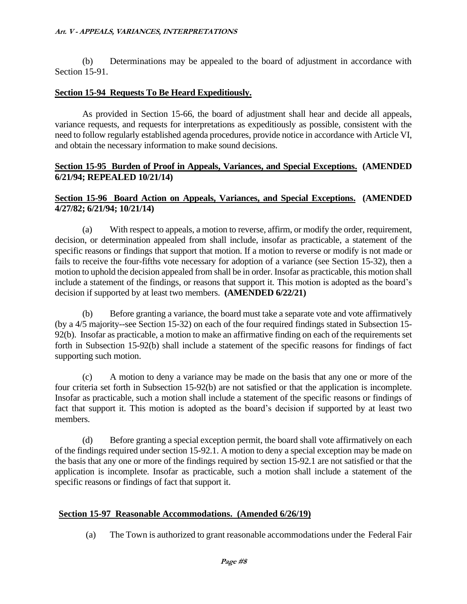(b) Determinations may be appealed to the board of adjustment in accordance with Section 15-91.

#### **Section 15-94 Requests To Be Heard Expeditiously.**

As provided in Section 15-66, the board of adjustment shall hear and decide all appeals, variance requests, and requests for interpretations as expeditiously as possible, consistent with the need to follow regularly established agenda procedures, provide notice in accordance with Article VI, and obtain the necessary information to make sound decisions.

#### **Section 15-95 Burden of Proof in Appeals, Variances, and Special Exceptions. (AMENDED 6/21/94; REPEALED 10/21/14)**

#### **Section 15-96 Board Action on Appeals, Variances, and Special Exceptions. (AMENDED 4/27/82; 6/21/94; 10/21/14)**

(a) With respect to appeals, a motion to reverse, affirm, or modify the order, requirement, decision, or determination appealed from shall include, insofar as practicable, a statement of the specific reasons or findings that support that motion. If a motion to reverse or modify is not made or fails to receive the four-fifths vote necessary for adoption of a variance (see Section 15-32), then a motion to uphold the decision appealed from shall be in order. Insofar as practicable, this motion shall include a statement of the findings, or reasons that support it. This motion is adopted as the board's decision if supported by at least two members. **(AMENDED 6/22/21)**

(b) Before granting a variance, the board must take a separate vote and vote affirmatively (by a 4/5 majority--see Section 15-32) on each of the four required findings stated in Subsection 15- 92(b). Insofar as practicable, a motion to make an affirmative finding on each of the requirements set forth in Subsection 15-92(b) shall include a statement of the specific reasons for findings of fact supporting such motion.

(c) A motion to deny a variance may be made on the basis that any one or more of the four criteria set forth in Subsection 15-92(b) are not satisfied or that the application is incomplete. Insofar as practicable, such a motion shall include a statement of the specific reasons or findings of fact that support it. This motion is adopted as the board's decision if supported by at least two members.

(d) Before granting a special exception permit, the board shall vote affirmatively on each of the findings required under section 15-92.1. A motion to deny a special exception may be made on the basis that any one or more of the findings required by section 15-92.1 are not satisfied or that the application is incomplete. Insofar as practicable, such a motion shall include a statement of the specific reasons or findings of fact that support it.

### **Section 15-97 Reasonable Accommodations. (Amended 6/26/19)**

(a) The Town is authorized to grant reasonable accommodations under the Federal Fair